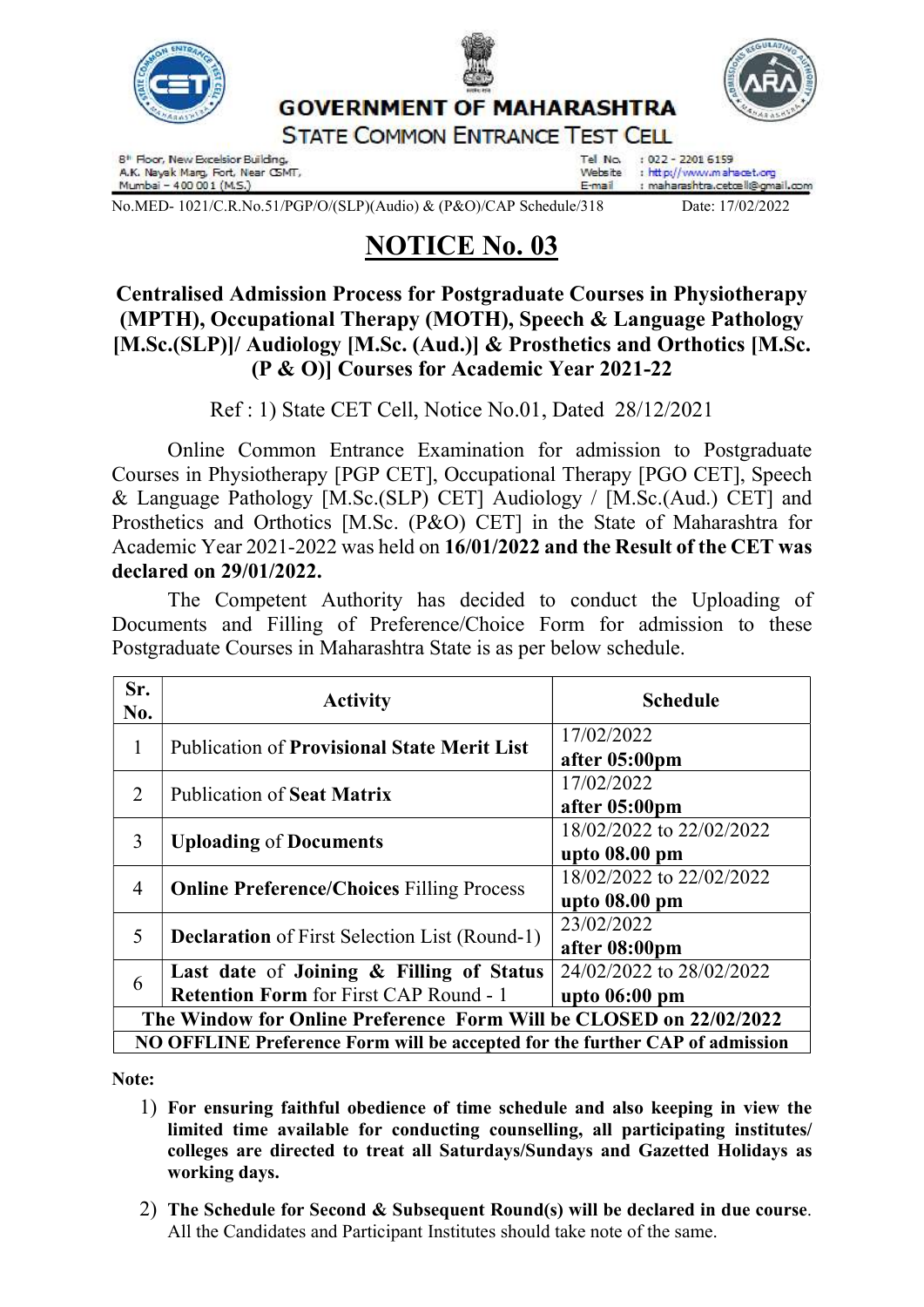

Tel No.  $: 022 - 22016159$ Website : http://www.umahacet.org : maharashtra.cetœll@gmail.com E-mail

No.MED- 1021/C.R.No.51/PGP/O/(SLP)(Audio) & (P&O)/CAP Schedule/318 Date: 17/02/2022

Mumbai - 400 001 (M.S.)

## NOTICE No. 03

## Centralised Admission Process for Postgraduate Courses in Physiotherapy (MPTH), Occupational Therapy (MOTH), Speech & Language Pathology [M.Sc.(SLP)]/ Audiology [M.Sc. (Aud.)] & Prosthetics and Orthotics [M.Sc. (P & O)] Courses for Academic Year 2021-22

Ref : 1) State CET Cell, Notice No.01, Dated 28/12/2021

Online Common Entrance Examination for admission to Postgraduate Courses in Physiotherapy [PGP CET], Occupational Therapy [PGO CET], Speech & Language Pathology [M.Sc.(SLP) CET] Audiology / [M.Sc.(Aud.) CET] and Prosthetics and Orthotics [M.Sc. (P&O) CET] in the State of Maharashtra for Academic Year 2021-2022 was held on 16/01/2022 and the Result of the CET was declared on 29/01/2022.

 The Competent Authority has decided to conduct the Uploading of Documents and Filling of Preference/Choice Form for admission to these Postgraduate Courses in Maharashtra State is as per below schedule.

| Sr.<br>No.                                                                   | <b>Activity</b>                                                                           | <b>Schedule</b>                             |
|------------------------------------------------------------------------------|-------------------------------------------------------------------------------------------|---------------------------------------------|
| 1                                                                            | <b>Publication of Provisional State Merit List</b>                                        | 17/02/2022<br>after 05:00pm                 |
| 2                                                                            | <b>Publication of Seat Matrix</b>                                                         | 17/02/2022<br>after 05:00pm                 |
| 3                                                                            | <b>Uploading of Documents</b>                                                             | 18/02/2022 to 22/02/2022<br>upto 08.00 pm   |
| 4                                                                            | <b>Online Preference/Choices Filling Process</b>                                          | 18/02/2022 to 22/02/2022<br>upto 08.00 pm   |
| 5                                                                            | <b>Declaration</b> of First Selection List (Round-1)                                      | 23/02/2022<br>after 08:00pm                 |
| 6                                                                            | Last date of Joining & Filling of Status<br><b>Retention Form for First CAP Round - 1</b> | 24/02/2022 to 28/02/2022<br>upto $06:00$ pm |
| The Window for Online Preference Form Will be CLOSED on 22/02/2022           |                                                                                           |                                             |
| NO OFFLINE Preference Form will be accepted for the further CAP of admission |                                                                                           |                                             |
|                                                                              |                                                                                           |                                             |

Note:

- 1) For ensuring faithful obedience of time schedule and also keeping in view the limited time available for conducting counselling, all participating institutes/ colleges are directed to treat all Saturdays/Sundays and Gazetted Holidays as working days.
- 2) The Schedule for Second & Subsequent Round(s) will be declared in due course. All the Candidates and Participant Institutes should take note of the same.